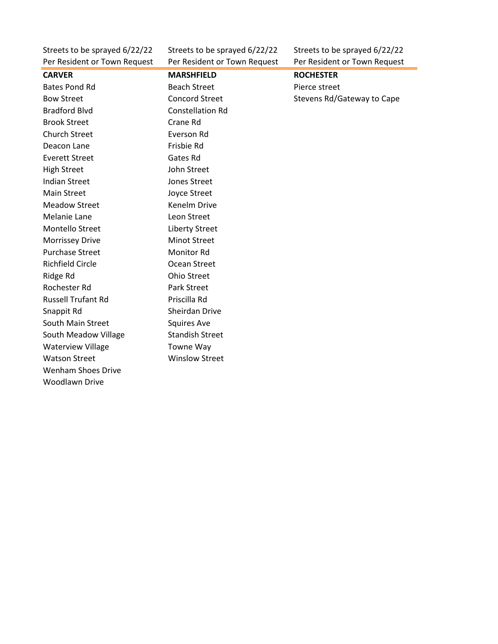Per Resident or Town Request Per Resident or Town Request Per Resident or Town Request

Woodlawn Drive

Streets to be sprayed 6/22/22 Streets to be sprayed 6/22/22 Streets to be sprayed 6/22/22

| <b>CARVER</b>             | <b>MARSHFIELD</b>       | <b>ROCHESTER</b>           |
|---------------------------|-------------------------|----------------------------|
| <b>Bates Pond Rd</b>      | <b>Beach Street</b>     | Pierce street              |
| <b>Bow Street</b>         | <b>Concord Street</b>   | Stevens Rd/Gateway to Cape |
| <b>Bradford Blvd</b>      | <b>Constellation Rd</b> |                            |
| <b>Brook Street</b>       | Crane Rd                |                            |
| <b>Church Street</b>      | Everson Rd              |                            |
| Deacon Lane               | Frisbie Rd              |                            |
| <b>Everett Street</b>     | Gates Rd                |                            |
| <b>High Street</b>        | John Street             |                            |
| <b>Indian Street</b>      | <b>Jones Street</b>     |                            |
| <b>Main Street</b>        | Joyce Street            |                            |
| <b>Meadow Street</b>      | Kenelm Drive            |                            |
| Melanie Lane              | Leon Street             |                            |
| Montello Street           | <b>Liberty Street</b>   |                            |
| <b>Morrissey Drive</b>    | <b>Minot Street</b>     |                            |
| <b>Purchase Street</b>    | <b>Monitor Rd</b>       |                            |
| <b>Richfield Circle</b>   | Ocean Street            |                            |
| Ridge Rd                  | <b>Ohio Street</b>      |                            |
| Rochester Rd              | Park Street             |                            |
| <b>Russell Trufant Rd</b> | Priscilla Rd            |                            |
| Snappit Rd                | Sheirdan Drive          |                            |
| South Main Street         | <b>Squires Ave</b>      |                            |
| South Meadow Village      | <b>Standish Street</b>  |                            |
| <b>Waterview Village</b>  | Towne Way               |                            |
| <b>Watson Street</b>      | <b>Winslow Street</b>   |                            |
| <b>Wenham Shoes Drive</b> |                         |                            |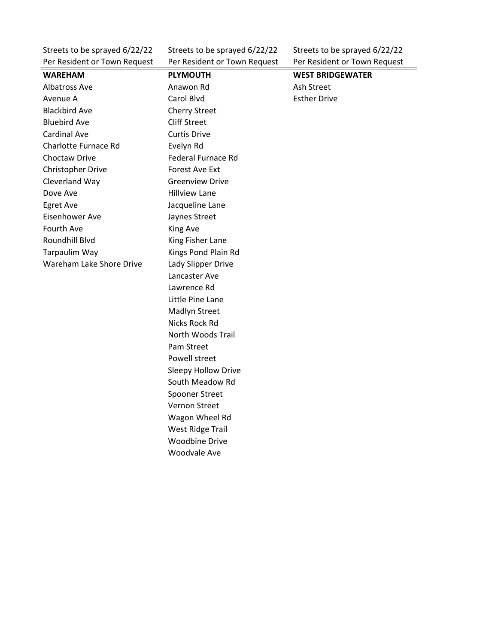Per Resident or Town Request Per Resident or Town Request Per Resident or Town Request

Streets to be sprayed 6/22/22 Streets to be sprayed 6/22/22 Streets to be sprayed 6/22/22

| <b>WAREHAM</b>              | <b>PLYMOUTH</b>            | <b>WEST BRIDGEWATER</b> |
|-----------------------------|----------------------------|-------------------------|
| Albatross Ave               | Anawon Rd                  | Ash Street              |
| Avenue A                    | Carol Blvd                 | <b>Esther Drive</b>     |
| <b>Blackbird Ave</b>        | <b>Cherry Street</b>       |                         |
| <b>Bluebird Ave</b>         | <b>Cliff Street</b>        |                         |
| <b>Cardinal Ave</b>         | <b>Curtis Drive</b>        |                         |
| <b>Charlotte Furnace Rd</b> | Evelyn Rd                  |                         |
| <b>Choctaw Drive</b>        | <b>Federal Furnace Rd</b>  |                         |
| Christopher Drive           | <b>Forest Ave Ext</b>      |                         |
| Cleverland Way              | <b>Greenview Drive</b>     |                         |
| Dove Ave                    | <b>Hillview Lane</b>       |                         |
| Egret Ave                   | Jacqueline Lane            |                         |
| Eisenhower Ave              | Jaynes Street              |                         |
| Fourth Ave                  | King Ave                   |                         |
| Roundhill Blvd              | King Fisher Lane           |                         |
| Tarpaulim Way               | Kings Pond Plain Rd        |                         |
| Wareham Lake Shore Drive    | Lady Slipper Drive         |                         |
|                             | Lancaster Ave              |                         |
|                             | Lawrence Rd                |                         |
|                             | Little Pine Lane           |                         |
|                             | Madlyn Street              |                         |
|                             | <b>Nicks Rock Rd</b>       |                         |
|                             | North Woods Trail          |                         |
|                             | Pam Street                 |                         |
|                             | Powell street              |                         |
|                             | <b>Sleepy Hollow Drive</b> |                         |
|                             | South Meadow Rd            |                         |
|                             | <b>Spooner Street</b>      |                         |
|                             | Vernon Street              |                         |
|                             | Wagon Wheel Rd             |                         |
|                             | West Ridge Trail           |                         |
|                             | <b>Woodbine Drive</b>      |                         |
|                             | <b>Woodvale Ave</b>        |                         |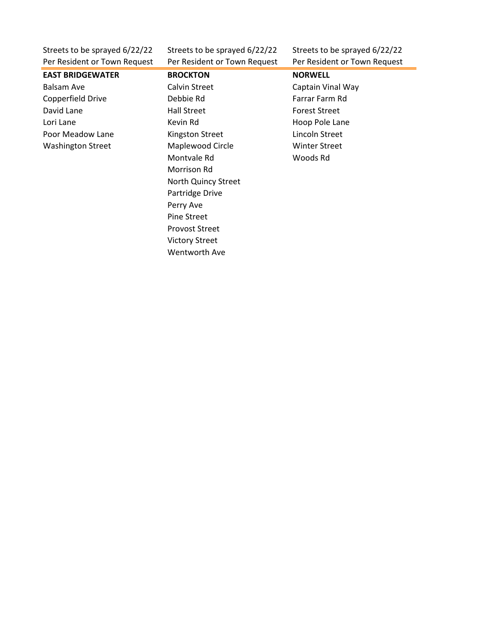Per Resident or Town Request Per Resident or Town Request Per Resident or Town Request

Streets to be sprayed 6/22/22 Streets to be sprayed 6/22/22 Streets to be sprayed 6/22/22

**EAST BRIDGEWATER BROCKTON NORWELL** Balsam Ave **Calvin Street** Calvin Street Captain Vinal Way Copperfield Drive **Copperfield Drive Copperfield Drive Debbie Rd** Farm Rd David Lane **Forest Street** Hall Street **Forest Street** Lori Lane **Kevin Rd** Kevin Rd **Hoop Pole Lane** Poor Meadow Lane **Kingston Street Lincoln Street** Washington Street Maplewood Circle Winter Street

Montvale Rd Woods Rd Morrison Rd North Quincy Street Partridge Drive Perry Ave Pine Street Provost Street Victory Street Wentworth Ave